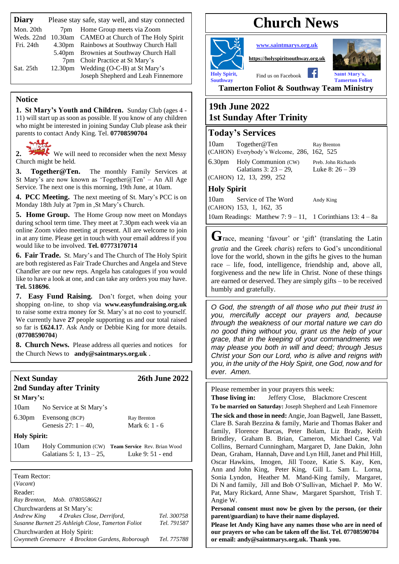| <b>Diary</b> | Please stay safe, stay well, and stay connected |                                                                         |  |
|--------------|-------------------------------------------------|-------------------------------------------------------------------------|--|
| Mon. 20th    | 7pm                                             | Home Group meets via Zoom<br>10.30am CAMEO at Church of The Holy Spirit |  |
| Weds. 22nd   |                                                 |                                                                         |  |
| Fri. 24th    |                                                 | 4.30pm Rainbows at Southway Church Hall                                 |  |
|              |                                                 | 5.40pm Brownies at Southway Church Hall                                 |  |
|              |                                                 | 7pm Choir Practice at St Mary's                                         |  |
| Sat. 25th    |                                                 | 12.30pm Wedding (O-C-B) at St Mary's                                    |  |
|              |                                                 | Joseph Shepherd and Leah Finnemore                                      |  |

#### **Notice**

**1. St Mary's Youth and Children.** Sunday Club (ages 4 - 11) will start up as soon as possible. If you know of any children who might be interested in joining Sunday Club please ask their parents to contact Andy King. Tel. **07708590704**

2. We will need to reconsider when the next Messy Church might be held.

3. Together@Ten. The monthly Family Services at St Mary's are now known as 'Together@Ten' – An All Age Service. The next one is this morning, 19th June, at 10am.

**4. PCC Meeting.** The next meeting of St. Mary's PCC is on Monday 18th July at 7pm in ,St Mary's Church.

**5. Home Group.** The Home Group now meet on Mondays during school term time. They meet at 7.30pm each week via an online Zoom video meeting at present. All are welcome to join in at any time. Please get in touch with your email address if you would like to be involved. **Tel. 07773170714**

**6. Fair Trade.** St. Mary's and The Church of The Holy Spirit are both registered as Fair Trade Churches and Angela and Steve Chandler are our new reps. Angela has catalogues if you would like to have a look at one, and can take any orders you may have. **Tel. 518696**.

**7. Easy Fund Raising.** Don't forget, when doing your shopping on-line, to shop via **[www.easyfundraising.org.uk](http://www.easyfundraising.org.uk/)** to raise some extra money for St. Mary's at no cost to yourself. We currently have **27** people supporting us and our total raised so far is **£624.17**. Ask Andy or Debbie King for more details. (**07708590704**)

**8. Church News.** Please address all queries and notices for the Church News to **[andy@saintmarys.org.uk](mailto:andy@saintmarys.org.uk)** .

| <b>Next Sunday</b>                  | 2nd Sunday after Trinity                        | <b>26th June 2022</b>                                                |  |
|-------------------------------------|-------------------------------------------------|----------------------------------------------------------------------|--|
| St Mary's:                          |                                                 |                                                                      |  |
| 10am                                | No Service at St Mary's                         |                                                                      |  |
|                                     | 6.30pm Evensong (BCP)<br>Genesis $27: 1 - 40$ . | Ray Brenton<br>Mark 6: 1 - 6                                         |  |
| <b>Holy Spirit:</b>                 |                                                 |                                                                      |  |
| 10am                                | Galatians 5: 1, $13 - 25$ ,                     | Holy Communion (CW) Team Service Rev. Brian Wood<br>Luke 9: 51 - end |  |
|                                     |                                                 |                                                                      |  |
| Team Rector:<br>(Vacant)<br>Reader: | Ray Brenton, Mob. 07805586621                   |                                                                      |  |

| Churchwardens at St Mary's:                        |             |
|----------------------------------------------------|-------------|
| Andrew King 4 Drakes Close, Derriford,             | Tel. 300758 |
| Susanne Burnett 25 Ashleigh Close, Tamerton Foliot | Tel. 791587 |
| Churchwarden at Holy Spirit:                       |             |
| Gwynneth Greenacre 4 Brockton Gardens, Roborough   | Tel. 775788 |

# **Church News**



**[www.saintmarys.org.uk](http://www.saintmarys.org.uk/)**

**[https://holyspiritsouthway.org.uk](https://holyspiritsouthway.org.uk/)**



**Southway** Tamerton Foliot

**Tamerton Foliot & Southway Team Ministry**

## **19th June 2022 1st Sunday After Trinity**

### **Today's Services**

|                                                                 | 10am Together@Ten<br>(CAHON) Everybody's Welcome, 286, 162, 525 | Ray Brenton                              |  |  |  |
|-----------------------------------------------------------------|-----------------------------------------------------------------|------------------------------------------|--|--|--|
|                                                                 | 6.30pm Holy Communion (CW)<br>Galatians 3: $23 - 29$ ,          | Preb. John Richards<br>Luke 8: $26 - 39$ |  |  |  |
|                                                                 | (CAHON) 12, 13, 299, 252                                        |                                          |  |  |  |
| <b>Holy Spirit</b>                                              |                                                                 |                                          |  |  |  |
|                                                                 | 10am Service of The Word<br>(CAHON) 153, 1, 162, 35             | Andy King                                |  |  |  |
| 10am Readings: Matthew 7: $9 - 11$ , 1 Corinthians 13: $4 - 8a$ |                                                                 |                                          |  |  |  |

**G**race, meaning 'favour' or 'gift' (translating the Latin *gratia* and the Greek *charis*) refers to God's unconditional love for the world, shown in the gifts he gives to the human race – life, food, intelligence, friendship and, above all,

forgiveness and the new life in Christ. None of these things are earned or deserved. They are simply gifts – to be received humbly and gratefully.

*O God, the strength of all those who put their trust in you, mercifully accept our prayers and, because through the weakness of our mortal nature we can do no good thing without you, grant us the help of your grace, that in the keeping of your commandments we may please you both in will and deed; through Jesus Christ your Son our Lord, who is alive and reigns with you, in the unity of the Holy Spirit, one God, now and for ever. Amen.*

Please remember in your prayers this week:

**Those living in:** Jeffery Close, Blackmore Crescent

**To be married on Saturday:** Joseph Shepherd and Leah Finnemore **The sick and those in need:** Angie, Joan Bagwell, Jane Bassett, Clare B. Sarah Bezzina & family, Marie and Thomas Baker and family, Florence Barcas, Peter Bolam, Liz Brady, Keith Brindley, Graham B. Brian, Cameron, Michael Case, Val Collins, Bernard Cunningham, Margaret D, Jane Dakin, John Dean, Graham, Hannah, Dave and Lyn Hill, Janet and Phil Hill, Oscar Hawkins, Imogen, Jill Tooze, Katie S. Kay, Ken, Ann and John King, Peter King, Gill L. Sam L. Lorna, Sonia Lyndon, Heather M. Mand-King family, Margaret, Di N and family, Jill and Bob O'Sullivan, Michael P. Mo W. Pat, Mary Rickard, Anne Shaw, Margaret Sparshott, Trish T. Angie W.

**Personal consent must now be given by the person, (or their parent/guardian) to have their name displayed.**

**Please let Andy King have any names those who are in need of our prayers or who can be taken off the list. Tel. 07708590704 or email: andy@saintmarys.org.uk. Thank you.**